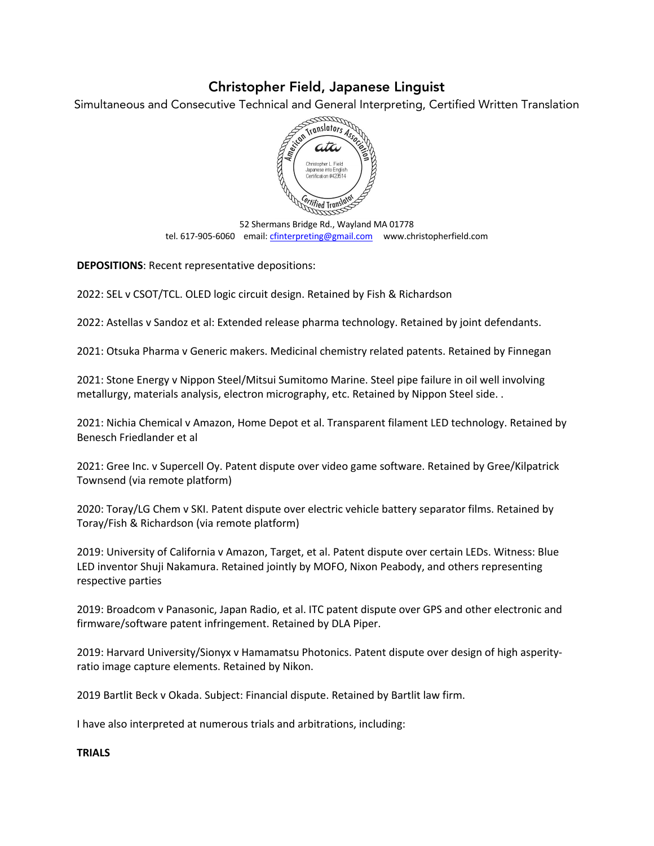## Christopher Field, Japanese Linguist

Simultaneous and Consecutive Technical and General Interpreting, Certified Written Translation



52 Shermans Bridge Rd., Wayland MA 01778 tel. 617-905-6060 email: cfinterpreting@gmail.com www.christopherfield.com

**DEPOSITIONS**: Recent representative depositions:

2022: SEL v CSOT/TCL. OLED logic circuit design. Retained by Fish & Richardson

2022: Astellas v Sandoz et al: Extended release pharma technology. Retained by joint defendants.

2021: Otsuka Pharma v Generic makers. Medicinal chemistry related patents. Retained by Finnegan

2021: Stone Energy v Nippon Steel/Mitsui Sumitomo Marine. Steel pipe failure in oil well involving metallurgy, materials analysis, electron micrography, etc. Retained by Nippon Steel side. .

2021: Nichia Chemical v Amazon, Home Depot et al. Transparent filament LED technology. Retained by Benesch Friedlander et al

2021: Gree Inc. v Supercell Oy. Patent dispute over video game software. Retained by Gree/Kilpatrick Townsend (via remote platform)

2020: Toray/LG Chem v SKI. Patent dispute over electric vehicle battery separator films. Retained by Toray/Fish & Richardson (via remote platform)

2019: University of California v Amazon, Target, et al. Patent dispute over certain LEDs. Witness: Blue LED inventor Shuji Nakamura. Retained jointly by MOFO, Nixon Peabody, and others representing respective parties

2019: Broadcom v Panasonic, Japan Radio, et al. ITC patent dispute over GPS and other electronic and firmware/software patent infringement. Retained by DLA Piper.

2019: Harvard University/Sionyx v Hamamatsu Photonics. Patent dispute over design of high asperityratio image capture elements. Retained by Nikon.

2019 Bartlit Beck v Okada. Subject: Financial dispute. Retained by Bartlit law firm.

I have also interpreted at numerous trials and arbitrations, including:

## **TRIALS**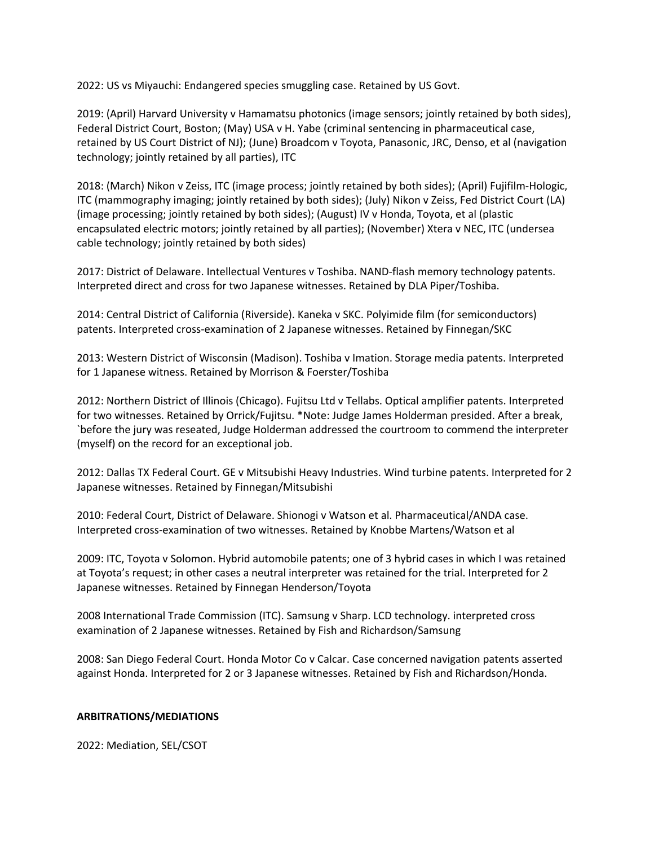2022: US vs Miyauchi: Endangered species smuggling case. Retained by US Govt.

2019: (April) Harvard University v Hamamatsu photonics (image sensors; jointly retained by both sides), Federal District Court, Boston; (May) USA v H. Yabe (criminal sentencing in pharmaceutical case, retained by US Court District of NJ); (June) Broadcom v Toyota, Panasonic, JRC, Denso, et al (navigation technology; jointly retained by all parties), ITC

2018: (March) Nikon v Zeiss, ITC (image process; jointly retained by both sides); (April) Fujifilm-Hologic, ITC (mammography imaging; jointly retained by both sides); (July) Nikon v Zeiss, Fed District Court (LA) (image processing; jointly retained by both sides); (August) IV v Honda, Toyota, et al (plastic encapsulated electric motors; jointly retained by all parties); (November) Xtera v NEC, ITC (undersea cable technology; jointly retained by both sides)

2017: District of Delaware. Intellectual Ventures v Toshiba. NAND-flash memory technology patents. Interpreted direct and cross for two Japanese witnesses. Retained by DLA Piper/Toshiba.

2014: Central District of California (Riverside). Kaneka v SKC. Polyimide film (for semiconductors) patents. Interpreted cross-examination of 2 Japanese witnesses. Retained by Finnegan/SKC

2013: Western District of Wisconsin (Madison). Toshiba v Imation. Storage media patents. Interpreted for 1 Japanese witness. Retained by Morrison & Foerster/Toshiba

2012: Northern District of Illinois (Chicago). Fujitsu Ltd v Tellabs. Optical amplifier patents. Interpreted for two witnesses. Retained by Orrick/Fujitsu. \*Note: Judge James Holderman presided. After a break, `before the jury was reseated, Judge Holderman addressed the courtroom to commend the interpreter (myself) on the record for an exceptional job.

2012: Dallas TX Federal Court. GE v Mitsubishi Heavy Industries. Wind turbine patents. Interpreted for 2 Japanese witnesses. Retained by Finnegan/Mitsubishi

2010: Federal Court, District of Delaware. Shionogi v Watson et al. Pharmaceutical/ANDA case. Interpreted cross-examination of two witnesses. Retained by Knobbe Martens/Watson et al

2009: ITC, Toyota v Solomon. Hybrid automobile patents; one of 3 hybrid cases in which I was retained at Toyota's request; in other cases a neutral interpreter was retained for the trial. Interpreted for 2 Japanese witnesses. Retained by Finnegan Henderson/Toyota

2008 International Trade Commission (ITC). Samsung v Sharp. LCD technology. interpreted cross examination of 2 Japanese witnesses. Retained by Fish and Richardson/Samsung

2008: San Diego Federal Court. Honda Motor Co v Calcar. Case concerned navigation patents asserted against Honda. Interpreted for 2 or 3 Japanese witnesses. Retained by Fish and Richardson/Honda.

## **ARBITRATIONS/MEDIATIONS**

2022: Mediation, SEL/CSOT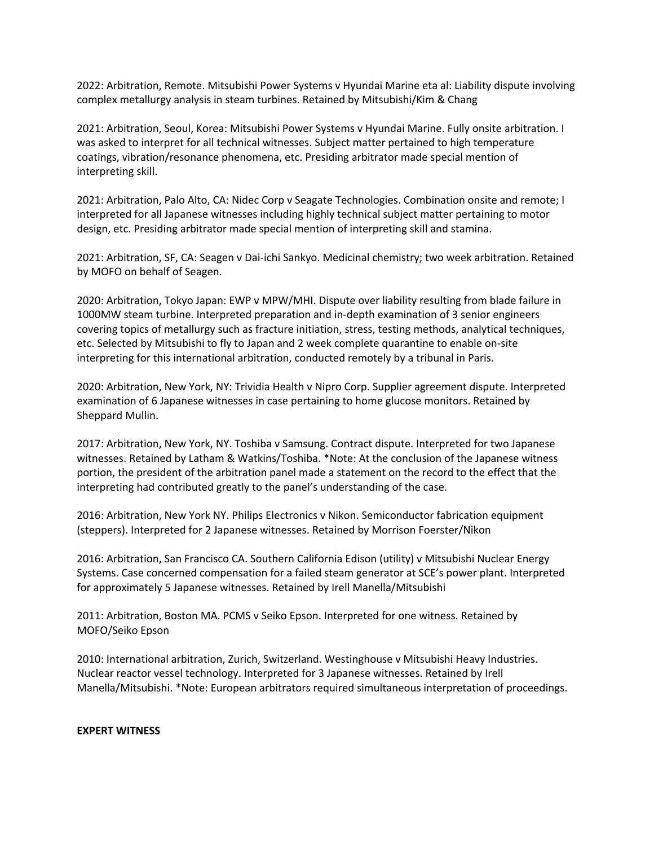2022: Arbitration, Remote. Mitsubishi Power Systems v Hyundai Marine eta al: Liability dispute involving complex metallurgy analysis in steam turbines. Retained by Mitsubishi/Kim & Chang

2021: Arbitration, Seoul, Korea: Mitsubishi Power Systems v Hyundai Marine. Fully onsite arbitration. I was asked to interpret for all technical witnesses. Subject matter pertained to high temperature coatings, vibration/resonance phenomena, etc. Presiding arbitrator made special mention of interpreting skill.

2021: Arbitration, Palo Alto, CA: Nidec Corp v Seagate Technologies. Combination onsite and remote; I interpreted for all Japanese witnesses including highly technical subject matter pertaining to motor design, etc. Presiding arbitrator made special mention of interpreting skill and stamina.

2021: Arbitration, SF, CA: Seagen v Dai-ichi Sankyo. Medicinal chemistry; two week arbitration. Retained by MOFO on behalf of Seagen.

2020: Arbitration, Tokyo Japan: EWP v MPW/MHI. Dispute over liability resulting from blade failure in 1000MW steam turbine. Interpreted preparation and in-depth examination of 3 senior engineers covering topics of metallurgy such as fracture initiation, stress, testing methods, analytical techniques, etc. Selected by Mitsubishi to fly to Japan and 2 week complete quarantine to enable on-site interpreting for this international arbitration, conducted remotely by a tribunal in Paris.

2020: Arbitration, New York, NY: Trividia Health v Nipro Corp. Supplier agreement dispute. Interpreted examination of 6 Japanese witnesses in case pertaining to home glucose monitors. Retained by Sheppard Mullin.

2017: Arbitration, New York, NY. Toshiba v Samsung. Contract dispute. Interpreted for two Japanese witnesses. Retained by Latham & Watkins/Toshiba. \*Note: At the conclusion of the Japanese witness portion, the president of the arbitration panel made a statement on the record to the effect that the interpreting had contributed greatly to the panel's understanding of the case.

2016: Arbitration, New York NY. Philips Electronics v Nikon. Semiconductor fabrication equipment (steppers). Interpreted for 2 Japanese witnesses. Retained by Morrison Foerster/Nikon

2016: Arbitration, San Francisco CA. Southern California Edison (utility) v Mitsubishi Nuclear Energy Systems. Case concerned compensation for a failed steam generator at SCE's power plant. Interpreted for approximately 5 Japanese witnesses. Retained by Irell Manella/Mitsubishi

2011: Arbitration, Boston MA. PCMS v Seiko Epson. Interpreted for one witness. Retained by MOFO/Seiko Epson

2010: International arbitration, Zurich, Switzerland. Westinghouse v Mitsubishi Heavy Industries. Nuclear reactor vessel technology. Interpreted for 3 Japanese witnesses. Retained by Irell Manella/Mitsubishi. \*Note: European arbitrators required simultaneous interpretation of proceedings.

## **EXPERT WITNESS**